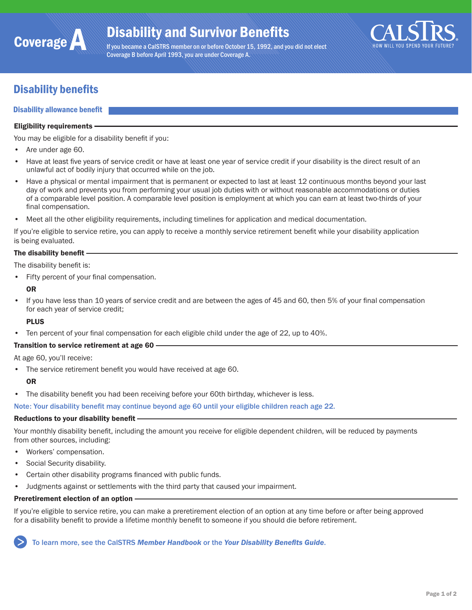

If you became a CalSTRS member on or before October 15, 1992, and you did not elect Coverage B before April 1993, you are under Coverage A.



# Disability benefits

#### Disability allowance benefit

#### Eligibility requirements

You may be eligible for a disability benefit if you:

- Are under age 60.
- Have at least five years of service credit or have at least one year of service credit if your disability is the direct result of an unlawful act of bodily injury that occurred while on the job.
- Have a physical or mental impairment that is permanent or expected to last at least 12 continuous months beyond your last day of work and prevents you from performing your usual job duties with or without reasonable accommodations or duties of a comparable level position. A comparable level position is employment at which you can earn at least two-thirds of your final compensation.
- Meet all the other eligibility requirements, including timelines for application and medical documentation.

If you're eligible to service retire, you can apply to receive a monthly service retirement benefit while your disability application is being evaluated.

### The disability benefit -

The disability benefit is:

- Fifty percent of your final compensation.
- OR
- If you have less than 10 years of service credit and are between the ages of 45 and 60, then 5% of your final compensation for each year of service credit;

#### PLUS

Ten percent of your final compensation for each eligible child under the age of 22, up to 40%.

#### Transition to service retirement at age 60

At age 60, you'll receive:

• The service retirement benefit you would have received at age 60.

#### **OR**

• The disability benefit you had been receiving before your 60th birthday, whichever is less.

Note: Your disability benefit may continue beyond age 60 until your eligible children reach age 22.

#### Reductions to your disability benefit

Your monthly disability benefit, including the amount you receive for eligible dependent children, will be reduced by payments from other sources, including:

- Workers' compensation.
- Social Security disability.
- Certain other disability programs financed with public funds.
- Judgments against or settlements with the third party that caused your impairment.

#### Preretirement election of an option -

If you're eligible to service retire, you can make a preretirement election of an option at any time before or after being approved for a disability benefit to provide a lifetime monthly benefit to someone if you should die before retirement.

To learn more, see the CalSTRS *[Member Handbook](https://www.calstrs.com/publication/member-handbook-0)* or the *[Your Disability Benefits Guide](https://www.calstrs.com/sites/main/files/file-attachments/disability_guide.pdf)*.